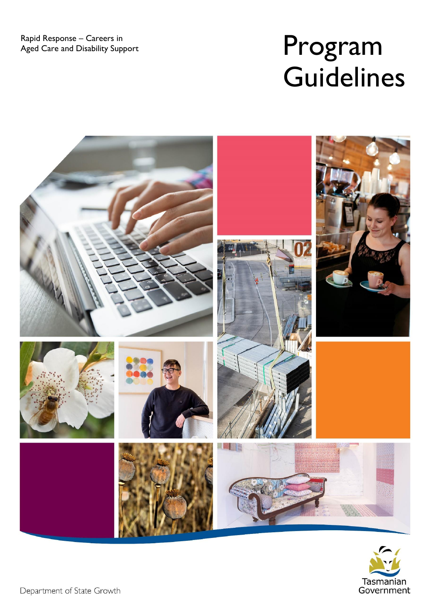Rapid Response – Careers in<br>Aged Care and Disability Support

# Program **Guidelines**





Department of State Growth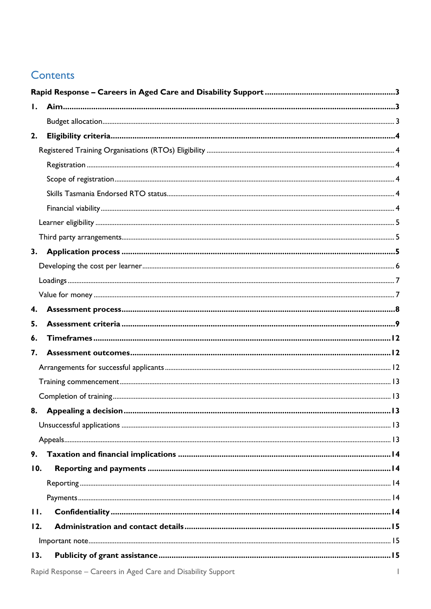#### **Contents**

| $\mathbf{I}$ . |                                                              |              |
|----------------|--------------------------------------------------------------|--------------|
|                |                                                              |              |
| 2.             |                                                              |              |
|                |                                                              |              |
|                |                                                              |              |
|                |                                                              |              |
|                |                                                              |              |
|                |                                                              |              |
|                |                                                              |              |
|                |                                                              |              |
| 3.             |                                                              |              |
|                |                                                              |              |
|                |                                                              |              |
|                |                                                              |              |
| 4.             |                                                              |              |
| 5.             |                                                              |              |
| 6.             |                                                              |              |
| 7.             |                                                              |              |
|                |                                                              |              |
|                |                                                              |              |
|                |                                                              |              |
|                |                                                              | 13           |
|                |                                                              |              |
|                |                                                              |              |
| 9.             |                                                              |              |
| 10.            |                                                              |              |
|                |                                                              |              |
|                |                                                              |              |
| 11.            |                                                              |              |
| 12.            |                                                              |              |
|                |                                                              |              |
| 13.            |                                                              |              |
|                | Rapid Response - Careers in Aged Care and Disability Support | $\mathbf{I}$ |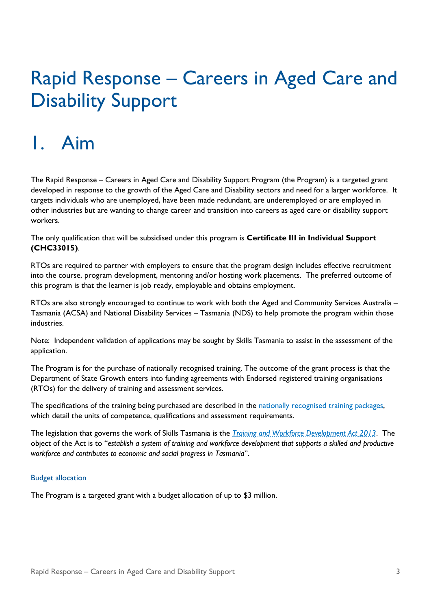## <span id="page-4-0"></span>Rapid Response – Careers in Aged Care and Disability Support

### <span id="page-4-1"></span>1. Aim

The Rapid Response – Careers in Aged Care and Disability Support Program (the Program) is a targeted grant developed in response to the growth of the Aged Care and Disability sectors and need for a larger workforce. It targets individuals who are unemployed, have been made redundant, are underemployed or are employed in other industries but are wanting to change career and transition into careers as aged care or disability support workers.

The only qualification that will be subsidised under this program is **Certificate III in Individual Support (CHC33015)**.

RTOs are required to partner with employers to ensure that the program design includes effective recruitment into the course, program development, mentoring and/or hosting work placements. The preferred outcome of this program is that the learner is job ready, employable and obtains employment.

RTOs are also strongly encouraged to continue to work with both the Aged and Community Services Australia – Tasmania (ACSA) and National Disability Services – Tasmania (NDS) to help promote the program within those industries.

Note: Independent validation of applications may be sought by Skills Tasmania to assist in the assessment of the application.

The Program is for the purchase of nationally recognised training. The outcome of the grant process is that the Department of State Growth enters into funding agreements with Endorsed registered training organisations (RTOs) for the delivery of training and assessment services.

The specifications of the training being purchased are described in the nationally recognised training packages, which detail the units of competence, qualifications and assessment requirements.

The legislation that governs the work of Skills Tasmania is the *[Training and Workforce Development Act 2013](https://www.legislation.tas.gov.au/view/html/inforce/current/act-2013-009)*. The object of the Act is to "*establish a system of training and workforce development that supports a skilled and productive workforce and contributes to economic and social progress in Tasmania*".

#### <span id="page-4-2"></span>Budget allocation

The Program is a targeted grant with a budget allocation of up to \$3 million.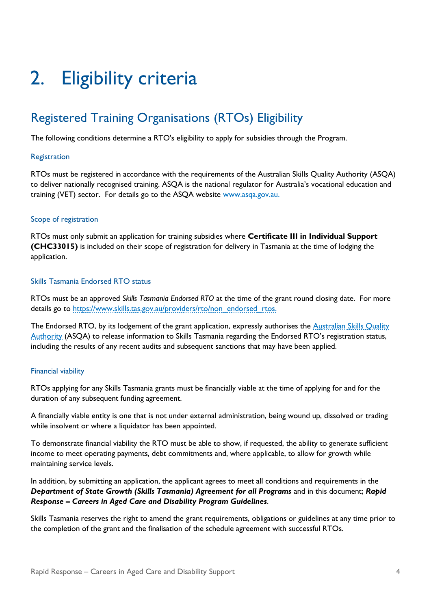## <span id="page-5-0"></span>2. Eligibility criteria

### <span id="page-5-1"></span>Registered Training Organisations (RTOs) Eligibility

<span id="page-5-2"></span>The following conditions determine a RTO's eligibility to apply for subsidies through the Program.

#### **Registration**

RTOs must be registered in accordance with the requirements of the Australian Skills Quality Authority (ASQA) to deliver nationally recognised training. ASQA is the national regulator for Australia's vocational education and training (VET) sector. For details go to the ASQA website www.asga.gov.au.

#### <span id="page-5-3"></span>Scope of registration

RTOs must only submit an application for training subsidies where **Certificate III in Individual Support (CHC33015)** is included on their scope of registration for delivery in Tasmania at the time of lodging the application.

#### <span id="page-5-4"></span>Skills Tasmania Endorsed RTO status

RTOs must be an approved *Skills Tasmania Endorsed RTO* at the time of the grant round closing date. For more details go to [https://www.skills.tas.gov.au/providers/rto/non\\_endorsed\\_rtos.](https://www.skills.tas.gov.au/providers/rto/non_endorsed_rtos)

The Endorsed RTO, by its lodgement of the grant application, expressly authorises the Australian Skills Quality [Authority](https://www.asqa.gov.au/) (ASQA) to release information to Skills Tasmania regarding the Endorsed RTO's registration status, including the results of any recent audits and subsequent sanctions that may have been applied.

#### <span id="page-5-5"></span>Financial viability

RTOs applying for any Skills Tasmania grants must be financially viable at the time of applying for and for the duration of any subsequent funding agreement.

A financially viable entity is one that is not under external administration, being wound up, dissolved or trading while insolvent or where a liquidator has been appointed.

To demonstrate financial viability the RTO must be able to show, if requested, the ability to generate sufficient income to meet operating payments, debt commitments and, where applicable, to allow for growth while maintaining service levels.

In addition, by submitting an application, the applicant agrees to meet all conditions and requirements in the *Department of State Growth (Skills Tasmania) Agreement for all Programs* and in this document; *Rapid Response – Careers in Aged Care and Disability Program Guidelines*.

Skills Tasmania reserves the right to amend the grant requirements, obligations or guidelines at any time prior to the completion of the grant and the finalisation of the schedule agreement with successful RTOs.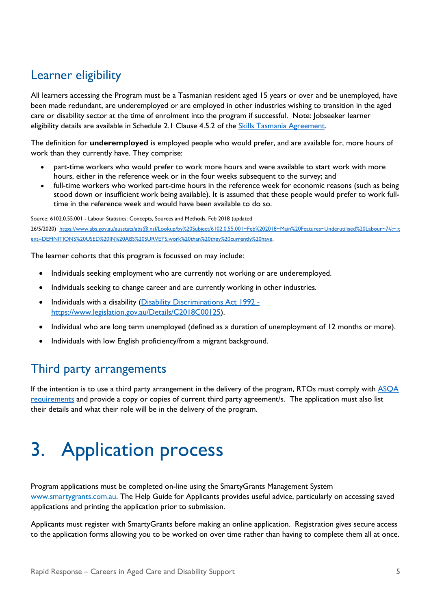### <span id="page-6-0"></span>Learner eligibility

All learners accessing the Program must be a Tasmanian resident aged 15 years or over and be unemployed, have been made redundant, are underemployed or are employed in other industries wishing to transition in the aged care or disability sector at the time of enrolment into the program if successful. Note: Jobseeker learner eligibility details are available in Schedule 2.1 Clause 4.5.2 of the [Skills Tasmania Agreement.](https://www.skills.tas.gov.au/__data/assets/pdf_file/0007/199015/2019-20_Skills_Tasmania_Agreement_Version_1.1_20190626_Final.PDF)

The definition for **underemployed** is employed people who would prefer, and are available for, more hours of work than they currently have. They comprise:

- part-time workers who would prefer to work more hours and were available to start work with more hours, either in the reference week or in the four weeks subsequent to the survey; and
- full-time workers who worked part-time hours in the reference week for economic reasons (such as being stood down or insufficient work being available). It is assumed that these people would prefer to work fulltime in the reference week and would have been available to do so.

Source: 6102.0.55.001 - Labour Statistics: Concepts, Sources and Methods, Feb 2018 (updated 26/5/2020) [https://www.abs.gov.au/ausstats/abs@.nsf/Lookup/by%20Subject/6102.0.55.001~Feb%202018~Main%20Features~Underutilised%20Labour~7#:~:t](https://aus01.safelinks.protection.outlook.com/?url=https:%2F%2Fwww.abs.gov.au%2Fausstats%2Fabs%40.nsf%2FLookup%2Fby%2520Subject%2F6102.0.55.001~Feb%25202018~Main%2520Features~Underutilised%2520Labour~7%23:~:text%3DDEFINITIONS%2520USED%2520IN%2520ABS%2520SURVEYS%2Cwork%2520than%2520they%2520currently%2520have&data=04%7C01%7Cdebra.doherty%40skills.tas.gov.au%7C4960ceb4aa164c9cc46f08d8e41069d3%7C64ebab8accf44b5ca2d32b4e972d96b2%7C0%7C0%7C637510106428772992%7CUnknown%7CTWFpbGZsb3d8eyJWIjoiMC4wLjAwMDAiLCJQIjoiV2luMzIiLCJBTiI6Ik1haWwiLCJXVCI6Mn0%3D%7C1000&sdata=Ylj5eQB685uZWsxtXKq6n2t%2BO9FYoUPJvX7IUqUwk%2B0%3D&reserved=0) [ext=DEFINITIONS%20USED%20IN%20ABS%20SURVEYS,work%20than%20they%20currently%20have.](https://aus01.safelinks.protection.outlook.com/?url=https:%2F%2Fwww.abs.gov.au%2Fausstats%2Fabs%40.nsf%2FLookup%2Fby%2520Subject%2F6102.0.55.001~Feb%25202018~Main%2520Features~Underutilised%2520Labour~7%23:~:text%3DDEFINITIONS%2520USED%2520IN%2520ABS%2520SURVEYS%2Cwork%2520than%2520they%2520currently%2520have&data=04%7C01%7Cdebra.doherty%40skills.tas.gov.au%7C4960ceb4aa164c9cc46f08d8e41069d3%7C64ebab8accf44b5ca2d32b4e972d96b2%7C0%7C0%7C637510106428772992%7CUnknown%7CTWFpbGZsb3d8eyJWIjoiMC4wLjAwMDAiLCJQIjoiV2luMzIiLCJBTiI6Ik1haWwiLCJXVCI6Mn0%3D%7C1000&sdata=Ylj5eQB685uZWsxtXKq6n2t%2BO9FYoUPJvX7IUqUwk%2B0%3D&reserved=0)

The learner cohorts that this program is focussed on may include:

- Individuals seeking employment who are currently not working or are underemployed.
- Individuals seeking to change career and are currently working in other industries.
- Individuals with a disability (Disability Discriminations Act 1992 [https://www.legislation.gov.au/Details/C2018C00125\)](https://www.legislation.gov.au/Details/C2018C00125).
- Individual who are long term unemployed (defined as a duration of unemployment of 12 months or more).
- Individuals with low English proficiency/from a migrant background.

#### <span id="page-6-1"></span>Third party arrangements

If the intention is to use a third party arrangement in the delivery of the program, RTOs must comply with [ASQA](https://www.asqa.gov.au/news-publications/publications/general-directions/third-party-arrangements-training-andor-assessment-vet-courses)  [requirements](https://www.asqa.gov.au/news-publications/publications/general-directions/third-party-arrangements-training-andor-assessment-vet-courses) and provide a copy or copies of current third party agreement/s. The application must also list their details and what their role will be in the delivery of the program.

## <span id="page-6-2"></span>3. Application process

Program applications must be completed on-line using the SmartyGrants Management System [www.smartygrants.com.au.](http://www.smartygrants.com.au/) The Help Guide for Applicants provides useful advice, particularly on accessing saved applications and printing the application prior to submission.

Applicants must register with SmartyGrants before making an online application. Registration gives secure access to the application forms allowing you to be worked on over time rather than having to complete them all at once.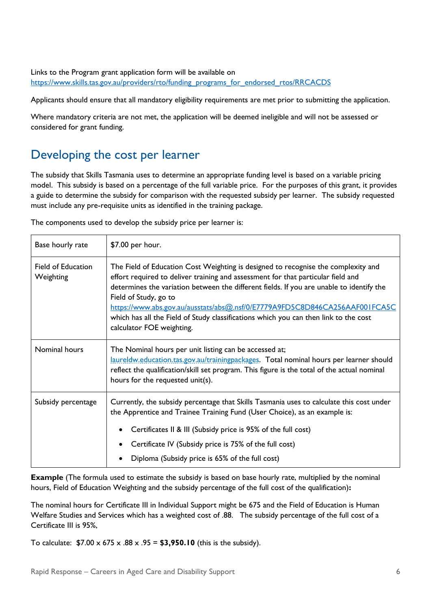#### Links to the Program grant application form will be available on [https://www.skills.tas.gov.au/providers/rto/funding\\_programs\\_for\\_endorsed\\_rtos/RRCACDS](https://aus01.safelinks.protection.outlook.com/?url=https%3A%2F%2Fwww.skills.tas.gov.au%2Fproviders%2Frto%2Ffunding_programs_for_endorsed_rtos%2FRRCACDS&data=04%7C01%7Cdebra.doherty%40skills.tas.gov.au%7Ce231a632a7b8464a1f0b08d8cd871c12%7C64ebab8accf44b5ca2d32b4e972d96b2%7C0%7C0%7C637485327458905832%7CUnknown%7CTWFpbGZsb3d8eyJWIjoiMC4wLjAwMDAiLCJQIjoiV2luMzIiLCJBTiI6Ik1haWwiLCJXVCI6Mn0%3D%7C1000&sdata=xhVSQUbvyKzJ%2Ff2rRAvVbL30q47ZB8HcnKf87QpMSpg%3D&reserved=0)

Applicants should ensure that all mandatory eligibility requirements are met prior to submitting the application.

Where mandatory criteria are not met, the application will be deemed ineligible and will not be assessed or considered for grant funding.

#### <span id="page-7-0"></span>Developing the cost per learner

The subsidy that Skills Tasmania uses to determine an appropriate funding level is based on a variable pricing model. This subsidy is based on a percentage of the full variable price. For the purposes of this grant, it provides a guide to determine the subsidy for comparison with the requested subsidy per learner. The subsidy requested must include any pre-requisite units as identified in the training package.

The components used to develop the subsidy price per learner is:

| Base hourly rate                       | \$7.00 per hour.                                                                                                                                                                                                                                                                                                                                                                                                                                                                               |
|----------------------------------------|------------------------------------------------------------------------------------------------------------------------------------------------------------------------------------------------------------------------------------------------------------------------------------------------------------------------------------------------------------------------------------------------------------------------------------------------------------------------------------------------|
| <b>Field of Education</b><br>Weighting | The Field of Education Cost Weighting is designed to recognise the complexity and<br>effort required to deliver training and assessment for that particular field and<br>determines the variation between the different fields. If you are unable to identify the<br>Field of Study, go to<br>https://www.abs.gov.au/ausstats/abs@.nsf/0/E7779A9FD5C8D846CA256AAF001FCA5C<br>which has all the Field of Study classifications which you can then link to the cost<br>calculator FOE weighting. |
| Nominal hours                          | The Nominal hours per unit listing can be accessed at;<br>laureldw.education.tas.gov.au/trainingpackages. Total nominal hours per learner should<br>reflect the qualification/skill set program. This figure is the total of the actual nominal<br>hours for the requested unit(s).                                                                                                                                                                                                            |
| Subsidy percentage                     | Currently, the subsidy percentage that Skills Tasmania uses to calculate this cost under<br>the Apprentice and Trainee Training Fund (User Choice), as an example is:<br>Certificates II & III (Subsidy price is 95% of the full cost)<br>Certificate IV (Subsidy price is 75% of the full cost)<br>Diploma (Subsidy price is 65% of the full cost)                                                                                                                                            |

**Example** (The formula used to estimate the subsidy is based on base hourly rate, multiplied by the nominal hours, Field of Education Weighting and the subsidy percentage of the full cost of the qualification)**:**

The nominal hours for Certificate III in Individual Support might be 675 and the Field of Education is Human Welfare Studies and Services which has a weighted cost of .88. The subsidy percentage of the full cost of a Certificate III is 95%,

To calculate:  $$7.00 \times 675 \times .88 \times .95 = $3,950.10$  (this is the subsidy).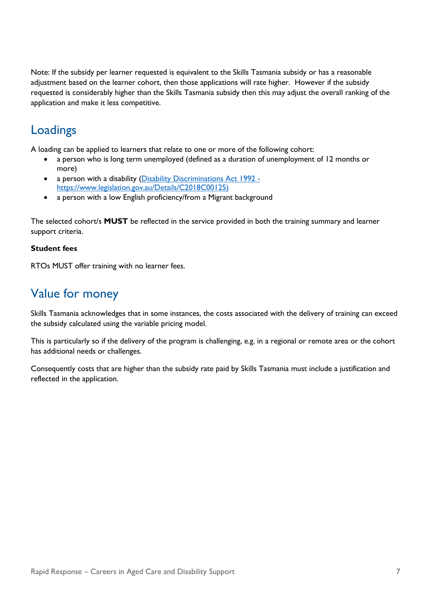Note: If the subsidy per learner requested is equivalent to the Skills Tasmania subsidy or has a reasonable adjustment based on the learner cohort, then those applications will rate higher. However if the subsidy requested is considerably higher than the Skills Tasmania subsidy then this may adjust the overall ranking of the application and make it less competitive.

#### <span id="page-8-0"></span>Loadings

A loading can be applied to learners that relate to one or more of the following cohort:

- a person who is long term unemployed (defined as a duration of unemployment of 12 months or more)
- a person with a disability (Disability Discriminations Act 1992 [https://www.legislation.gov.au/Details/C2018C00125\)](https://www.legislation.gov.au/Details/C2018C00125)
- a person with a low English proficiency/from a Migrant background

The selected cohort/s **MUST** be reflected in the service provided in both the training summary and learner support criteria.

#### **Student fees**

RTOs MUST offer training with no learner fees.

#### <span id="page-8-1"></span>Value for money

Skills Tasmania acknowledges that in some instances, the costs associated with the delivery of training can exceed the subsidy calculated using the variable pricing model.

This is particularly so if the delivery of the program is challenging, e.g. in a regional or remote area or the cohort has additional needs or challenges.

Consequently costs that are higher than the subsidy rate paid by Skills Tasmania must include a justification and reflected in the application.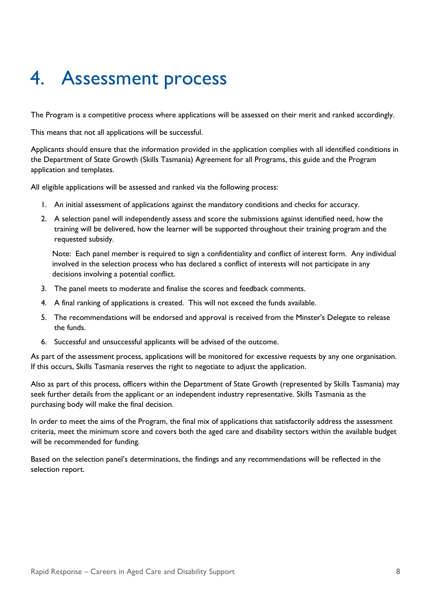### <span id="page-9-0"></span>4. Assessment process

The Program is a competitive process where applications will be assessed on their merit and ranked accordingly.

This means that not all applications will be successful.

Applicants should ensure that the information provided in the application complies with all identified conditions in the Department of State Growth (Skills Tasmania) Agreement for all Programs, this guide and the Program application and templates.

All eligible applications will be assessed and ranked via the following process:

- 1. An initial assessment of applications against the mandatory conditions and checks for accuracy.
- 2. A selection panel will independently assess and score the submissions against identified need, how the training will be delivered, how the learner will be supported throughout their training program and the requested subsidy.

Note: Each panel member is required to sign a confidentiality and conflict of interest form. Any individual involved in the selection process who has declared a conflict of interests will not participate in any decisions involving a potential conflict.

- 3. The panel meets to moderate and finalise the scores and feedback comments.
- 4. A final ranking of applications is created. This will not exceed the funds available.
- 5. The recommendations will be endorsed and approval is received from the Minster's Delegate to release the funds.
- 6. Successful and unsuccessful applicants will be advised of the outcome.

As part of the assessment process, applications will be monitored for excessive requests by any one organisation. If this occurs, Skills Tasmania reserves the right to negotiate to adjust the application.

Also as part of this process, officers within the Department of State Growth (represented by Skills Tasmania) may seek further details from the applicant or an independent industry representative. Skills Tasmania as the purchasing body will make the final decision.

In order to meet the aims of the Program, the final mix of applications that satisfactorily address the assessment criteria, meet the minimum score and covers both the aged care and disability sectors within the available budget will be recommended for funding.

Based on the selection panel's determinations, the findings and any recommendations will be reflected in the selection report.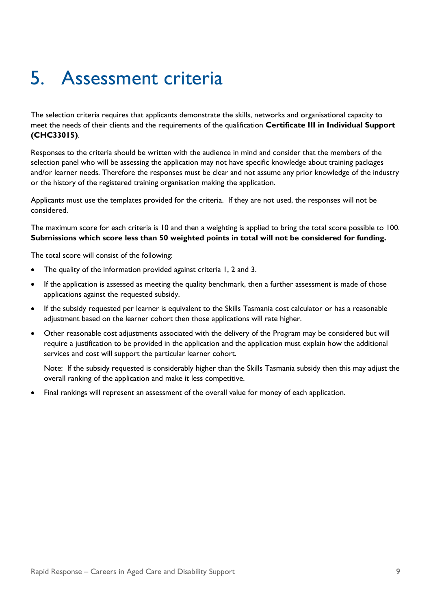## <span id="page-10-0"></span>5. Assessment criteria

The selection criteria requires that applicants demonstrate the skills, networks and organisational capacity to meet the needs of their clients and the requirements of the qualification **Certificate III in Individual Support (CHC33015)**.

Responses to the criteria should be written with the audience in mind and consider that the members of the selection panel who will be assessing the application may not have specific knowledge about training packages and/or learner needs. Therefore the responses must be clear and not assume any prior knowledge of the industry or the history of the registered training organisation making the application.

Applicants must use the templates provided for the criteria. If they are not used, the responses will not be considered.

The maximum score for each criteria is 10 and then a weighting is applied to bring the total score possible to 100. **Submissions which score less than 50 weighted points in total will not be considered for funding.**

The total score will consist of the following:

- The quality of the information provided against criteria 1, 2 and 3.
- If the application is assessed as meeting the quality benchmark, then a further assessment is made of those applications against the requested subsidy.
- If the subsidy requested per learner is equivalent to the Skills Tasmania cost calculator or has a reasonable adjustment based on the learner cohort then those applications will rate higher.
- Other reasonable cost adjustments associated with the delivery of the Program may be considered but will require a justification to be provided in the application and the application must explain how the additional services and cost will support the particular learner cohort.

Note: If the subsidy requested is considerably higher than the Skills Tasmania subsidy then this may adjust the overall ranking of the application and make it less competitive.

• Final rankings will represent an assessment of the overall value for money of each application.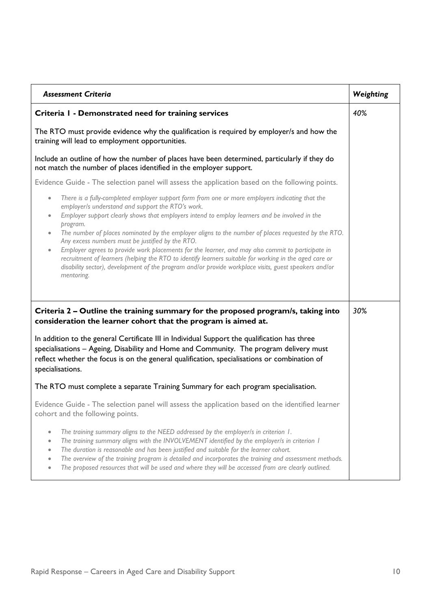| <b>Assessment Criteria</b>                                                                                                                                                                                                                                                                                                                                                                                                                                                                                              |  |
|-------------------------------------------------------------------------------------------------------------------------------------------------------------------------------------------------------------------------------------------------------------------------------------------------------------------------------------------------------------------------------------------------------------------------------------------------------------------------------------------------------------------------|--|
| Criteria I - Demonstrated need for training services                                                                                                                                                                                                                                                                                                                                                                                                                                                                    |  |
| The RTO must provide evidence why the qualification is required by employer/s and how the<br>training will lead to employment opportunities.                                                                                                                                                                                                                                                                                                                                                                            |  |
| Include an outline of how the number of places have been determined, particularly if they do<br>not match the number of places identified in the employer support.                                                                                                                                                                                                                                                                                                                                                      |  |
| Evidence Guide - The selection panel will assess the application based on the following points.                                                                                                                                                                                                                                                                                                                                                                                                                         |  |
| There is a fully-completed employer support form from one or more employers indicating that the<br>$\bullet$<br>employer/s understand and support the RTO's work.<br>Employer support clearly shows that employers intend to employ learners and be involved in the<br>$\bullet$<br>program.                                                                                                                                                                                                                            |  |
| The number of places nominated by the employer aligns to the number of places requested by the RTO.<br>$\bullet$<br>Any excess numbers must be justified by the RTO.<br>Employer agrees to provide work placements for the learner, and may also commit to participate in<br>$\bullet$<br>recruitment of learners (helping the RTO to identify learners suitable for working in the aged care or<br>disability sector), development of the program and/or provide workplace visits, guest speakers and/or<br>mentoring. |  |
| Criteria 2 – Outline the training summary for the proposed program/s, taking into<br>consideration the learner cohort that the program is aimed at.                                                                                                                                                                                                                                                                                                                                                                     |  |
| In addition to the general Certificate III in Individual Support the qualification has three<br>specialisations - Ageing, Disability and Home and Community. The program delivery must<br>reflect whether the focus is on the general qualification, specialisations or combination of<br>specialisations.                                                                                                                                                                                                              |  |
| The RTO must complete a separate Training Summary for each program specialisation.                                                                                                                                                                                                                                                                                                                                                                                                                                      |  |
| Evidence Guide - The selection panel will assess the application based on the identified learner<br>cohort and the following points.                                                                                                                                                                                                                                                                                                                                                                                    |  |
| The training summary aligns to the NEED addressed by the employer/s in criterion 1.<br>The training summary aligns with the INVOLVEMENT identified by the employer/s in criterion I<br>The duration is reasonable and has been justified and suitable for the learner cohort.<br>The overview of the training program is detailed and incorporates the training and assessment methods.<br>The proposed resources that will be used and where they will be accessed from are clearly outlined.                          |  |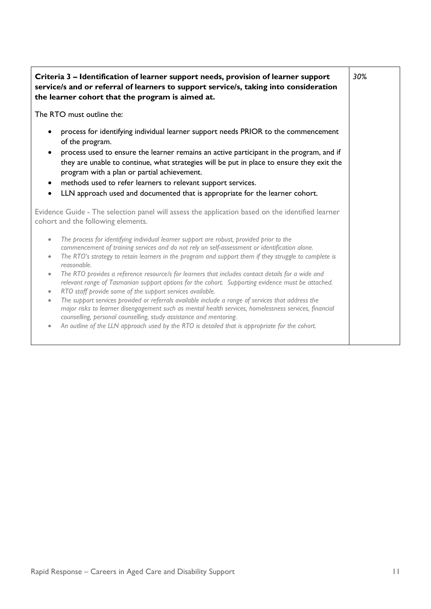| 30%<br>Criteria 3 – Identification of learner support needs, provision of learner support<br>service/s and or referral of learners to support service/s, taking into consideration<br>the learner cohort that the program is aimed at.                                                                                                                                                                                                                                                                                                                                                                                                                                                                                                                                                                                                                                                                                                                                                                                                                       |  |  |
|--------------------------------------------------------------------------------------------------------------------------------------------------------------------------------------------------------------------------------------------------------------------------------------------------------------------------------------------------------------------------------------------------------------------------------------------------------------------------------------------------------------------------------------------------------------------------------------------------------------------------------------------------------------------------------------------------------------------------------------------------------------------------------------------------------------------------------------------------------------------------------------------------------------------------------------------------------------------------------------------------------------------------------------------------------------|--|--|
| The RTO must outline the:                                                                                                                                                                                                                                                                                                                                                                                                                                                                                                                                                                                                                                                                                                                                                                                                                                                                                                                                                                                                                                    |  |  |
| process for identifying individual learner support needs PRIOR to the commencement<br>of the program.<br>process used to ensure the learner remains an active participant in the program, and if<br>they are unable to continue, what strategies will be put in place to ensure they exit the<br>program with a plan or partial achievement.<br>methods used to refer learners to relevant support services.<br>$\bullet$<br>LLN approach used and documented that is appropriate for the learner cohort.<br>$\bullet$                                                                                                                                                                                                                                                                                                                                                                                                                                                                                                                                       |  |  |
| Evidence Guide - The selection panel will assess the application based on the identified learner<br>cohort and the following elements.                                                                                                                                                                                                                                                                                                                                                                                                                                                                                                                                                                                                                                                                                                                                                                                                                                                                                                                       |  |  |
| The process for identifying individual learner support are robust, provided prior to the<br>$\bullet$<br>commencement of training services and do not rely on self-assessment or identification alone.<br>The RTO's strategy to retain learners in the program and support them if they struggle to complete is<br>$\bullet$<br>reasonable.<br>The RTO provides a reference resource/s for learners that includes contact details for a wide and<br>$\bullet$<br>relevant range of Tasmanian support options for the cohort. Supporting evidence must be attached.<br>RTO staff provide some of the support services available.<br>$\bullet$<br>The support services provided or referrals available include a range of services that address the<br>$\bullet$<br>major risks to learner disengagement such as mental health services, homelessness services, financial<br>counselling, personal counselling, study assistance and mentoring.<br>An outline of the LLN approach used by the RTO is detailed that is appropriate for the cohort.<br>$\bullet$ |  |  |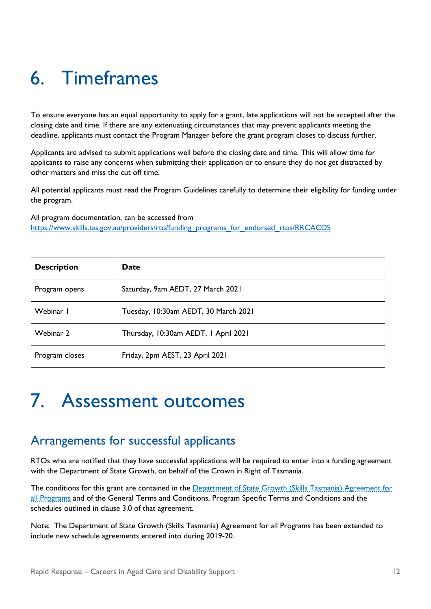## <span id="page-13-0"></span>6. Timeframes

To ensure everyone has an equal opportunity to apply for a grant, late applications will not be accepted after the closing date and time. If there are any extenuating circumstances that may prevent applicants meeting the deadline, applicants must contact the Program Manager before the grant program closes to discuss further.

Applicants are advised to submit applications well before the closing date and time. This will allow time for applicants to raise any concerns when submitting their application or to ensure they do not get distracted by other matters and miss the cut off time.

All potential applicants must read the Program Guidelines carefully to determine their eligibility for funding under the program.

All program documentation, can be accessed from [https://www.skills.tas.gov.au/providers/rto/funding\\_programs\\_for\\_endorsed\\_rtos/RRCACDS](https://aus01.safelinks.protection.outlook.com/?url=https%3A%2F%2Fwww.skills.tas.gov.au%2Fproviders%2Frto%2Ffunding_programs_for_endorsed_rtos%2FRRCACDS&data=04%7C01%7Cdebra.doherty%40skills.tas.gov.au%7Ce231a632a7b8464a1f0b08d8cd871c12%7C64ebab8accf44b5ca2d32b4e972d96b2%7C0%7C0%7C637485327458905832%7CUnknown%7CTWFpbGZsb3d8eyJWIjoiMC4wLjAwMDAiLCJQIjoiV2luMzIiLCJBTiI6Ik1haWwiLCJXVCI6Mn0%3D%7C1000&sdata=xhVSQUbvyKzJ%2Ff2rRAvVbL30q47ZB8HcnKf87QpMSpg%3D&reserved=0)

| <b>Description</b> | Date                                 |
|--------------------|--------------------------------------|
| Program opens      | Saturday, 9am AEDT, 27 March 2021    |
| Webinar I          | Tuesday, 10:30am AEDT, 30 March 2021 |
| Webinar 2          | Thursday, 10:30am AEDT, 1 April 2021 |
| Program closes     | Friday, 2pm AEST, 23 April 2021      |

### <span id="page-13-1"></span>7. Assessment outcomes

#### <span id="page-13-2"></span>Arrangements for successful applicants

RTOs who are notified that they have successful applications will be required to enter into a funding agreement with the Department of State Growth, on behalf of the Crown in Right of Tasmania.

The conditions for this grant are contained in the [Department of State Growth \(Skills Tasmania\) Agreement for](https://www.skills.tas.gov.au/__data/assets/pdf_file/0011/192197/2019-20_Skills_Tasmania_Agreement_Version_1.1_20190626_Final.PDF)  [all Programs](https://www.skills.tas.gov.au/__data/assets/pdf_file/0011/192197/2019-20_Skills_Tasmania_Agreement_Version_1.1_20190626_Final.PDF) and of the General Terms and Conditions, Program Specific Terms and Conditions and the schedules outlined in clause 3.0 of that agreement.

Note: The Department of State Growth (Skills Tasmania) Agreement for all Programs has been extended to include new schedule agreements entered into during 2019-20.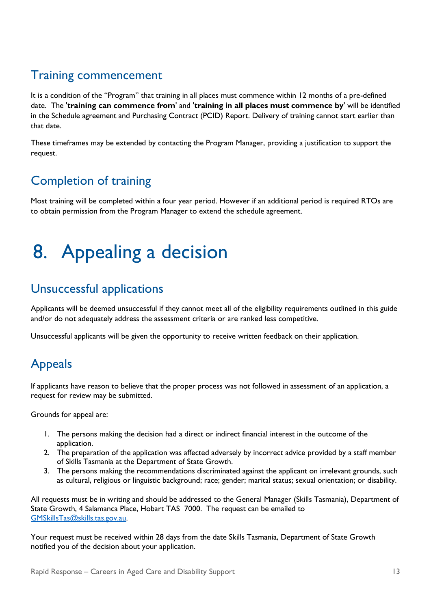### <span id="page-14-0"></span>Training commencement

It is a condition of the "Program" that training in all places must commence within 12 months of a pre-defined date. The '**training can commence from**' and '**training in all places must commence by**' will be identified in the Schedule agreement and Purchasing Contract (PCID) Report. Delivery of training cannot start earlier than that date.

These timeframes may be extended by contacting the Program Manager, providing a justification to support the request.

### <span id="page-14-1"></span>Completion of training

Most training will be completed within a four year period. However if an additional period is required RTOs are to obtain permission from the Program Manager to extend the schedule agreement.

## <span id="page-14-2"></span>8. Appealing a decision

#### <span id="page-14-3"></span>Unsuccessful applications

Applicants will be deemed unsuccessful if they cannot meet all of the eligibility requirements outlined in this guide and/or do not adequately address the assessment criteria or are ranked less competitive.

Unsuccessful applicants will be given the opportunity to receive written feedback on their application.

### <span id="page-14-4"></span>Appeals

If applicants have reason to believe that the proper process was not followed in assessment of an application, a request for review may be submitted.

Grounds for appeal are:

- 1. The persons making the decision had a direct or indirect financial interest in the outcome of the application.
- 2. The preparation of the application was affected adversely by incorrect advice provided by a staff member of Skills Tasmania at the Department of State Growth.
- 3. The persons making the recommendations discriminated against the applicant on irrelevant grounds, such as cultural, religious or linguistic background; race; gender; marital status; sexual orientation; or disability.

All requests must be in writing and should be addressed to the General Manager (Skills Tasmania), Department of State Growth, 4 Salamanca Place, Hobart TAS 7000. The request can be emailed to [GMSkillsTas@skills.tas.gov.au.](mailto:GMSkillsTas@skills.tas.gov.au) 

Your request must be received within 28 days from the date Skills Tasmania, Department of State Growth notified you of the decision about your application.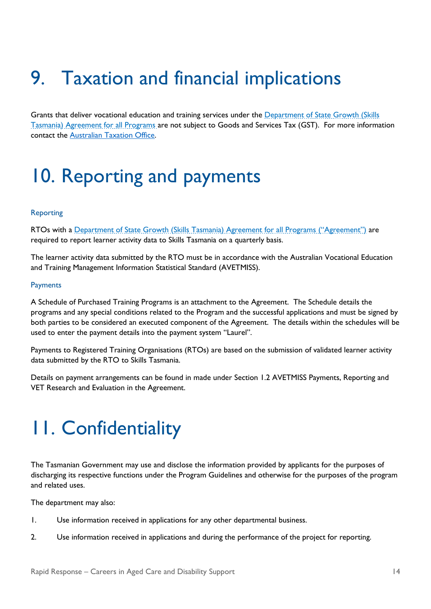## <span id="page-15-0"></span>9. Taxation and financial implications

Grants that deliver vocational education and training services under the Department of State Growth (Skills [Tasmania\) Agreement for all Programs](https://www.skills.tas.gov.au/__data/assets/pdf_file/0011/192197/2019-20_Skills_Tasmania_Agreement_Version_1.1_20190626_Final.PDF) are not subject to Goods and Services Tax (GST). For more information contact the [Australian Taxation Office.](https://www.ato.gov.au/)

### <span id="page-15-1"></span>10. Reporting and payments

#### <span id="page-15-2"></span>Reporting

RTOs with a [Department of State Growth \(Skills Tasmania\) Agreement for all Programs](https://www.skills.tas.gov.au/__data/assets/pdf_file/0011/192197/2019-20_Skills_Tasmania_Agreement_Version_1.1_20190626_Final.PDF) ("Agreement") are required to report learner activity data to Skills Tasmania on a quarterly basis.

The learner activity data submitted by the RTO must be in accordance with the Australian Vocational Education and Training Management Information Statistical Standard (AVETMISS).

#### <span id="page-15-3"></span>Payments

A Schedule of Purchased Training Programs is an attachment to the Agreement. The Schedule details the programs and any special conditions related to the Program and the successful applications and must be signed by both parties to be considered an executed component of the Agreement. The details within the schedules will be used to enter the payment details into the payment system "Laurel".

Payments to Registered Training Organisations (RTOs) are based on the submission of validated learner activity data submitted by the RTO to Skills Tasmania.

Details on payment arrangements can be found in made under Section 1.2 AVETMISS Payments, Reporting and VET Research and Evaluation in the Agreement.

### <span id="page-15-4"></span>11. Confidentiality

The Tasmanian Government may use and disclose the information provided by applicants for the purposes of discharging its respective functions under the Program Guidelines and otherwise for the purposes of the program and related uses.

The department may also:

- 1. Use information received in applications for any other departmental business.
- 2. Use information received in applications and during the performance of the project for reporting.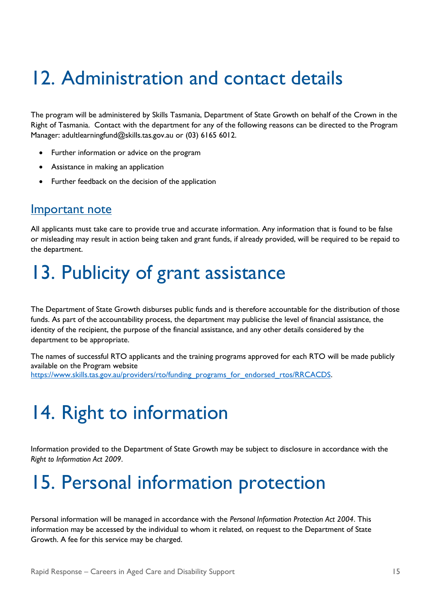## <span id="page-16-0"></span>12. Administration and contact details

The program will be administered by Skills Tasmania, Department of State Growth on behalf of the Crown in the Right of Tasmania. Contact with the department for any of the following reasons can be directed to the Program Manager: adultlearningfund@skills.tas.gov.au or (03) 6165 6012.

- Further information or advice on the program
- Assistance in making an application
- Further feedback on the decision of the application

#### <span id="page-16-1"></span>Important note

All applicants must take care to provide true and accurate information. Any information that is found to be false or misleading may result in action being taken and grant funds, if already provided, will be required to be repaid to the department.

### <span id="page-16-2"></span>13. Publicity of grant assistance

The Department of State Growth disburses public funds and is therefore accountable for the distribution of those funds. As part of the accountability process, the department may publicise the level of financial assistance, the identity of the recipient, the purpose of the financial assistance, and any other details considered by the department to be appropriate.

The names of successful RTO applicants and the training programs approved for each RTO will be made publicly available on the Program website [https://www.skills.tas.gov.au/providers/rto/funding\\_programs\\_for\\_endorsed\\_rtos/RRCACDS.](https://aus01.safelinks.protection.outlook.com/?url=https%3A%2F%2Fwww.skills.tas.gov.au%2Fproviders%2Frto%2Ffunding_programs_for_endorsed_rtos%2FRRCACDS&data=04%7C01%7Cdebra.doherty%40skills.tas.gov.au%7Ce231a632a7b8464a1f0b08d8cd871c12%7C64ebab8accf44b5ca2d32b4e972d96b2%7C0%7C0%7C637485327458905832%7CUnknown%7CTWFpbGZsb3d8eyJWIjoiMC4wLjAwMDAiLCJQIjoiV2luMzIiLCJBTiI6Ik1haWwiLCJXVCI6Mn0%3D%7C1000&sdata=xhVSQUbvyKzJ%2Ff2rRAvVbL30q47ZB8HcnKf87QpMSpg%3D&reserved=0)

### <span id="page-16-3"></span>14. Right to information

Information provided to the Department of State Growth may be subject to disclosure in accordance with the *Right to Information Act 2009*.

### <span id="page-16-4"></span>15. Personal information protection

Personal information will be managed in accordance with the *Personal Information Protection Act 2004*. This information may be accessed by the individual to whom it related, on request to the Department of State Growth. A fee for this service may be charged.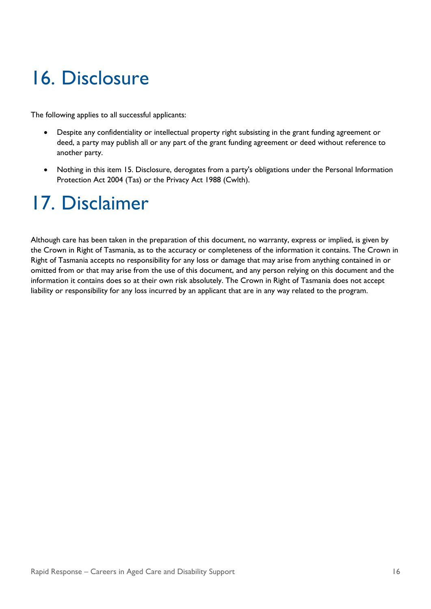## <span id="page-17-0"></span>16. Disclosure

The following applies to all successful applicants:

- Despite any confidentiality or intellectual property right subsisting in the grant funding agreement or deed, a party may publish all or any part of the grant funding agreement or deed without reference to another party.
- Nothing in this item 15. Disclosure, derogates from a party's obligations under the Personal Information Protection Act 2004 (Tas) or the Privacy Act 1988 (Cwlth).

## <span id="page-17-1"></span>17. Disclaimer

Although care has been taken in the preparation of this document, no warranty, express or implied, is given by the Crown in Right of Tasmania, as to the accuracy or completeness of the information it contains. The Crown in Right of Tasmania accepts no responsibility for any loss or damage that may arise from anything contained in or omitted from or that may arise from the use of this document, and any person relying on this document and the information it contains does so at their own risk absolutely. The Crown in Right of Tasmania does not accept liability or responsibility for any loss incurred by an applicant that are in any way related to the program.